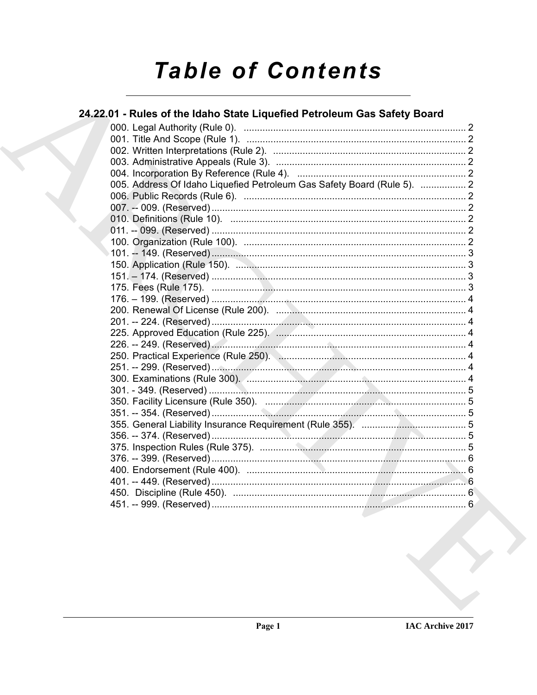# **Table of Contents**

## 24.22.01 - Rules of the Idaho State Liquefied Petroleum Gas Safety Board

| 005. Address Of Idaho Liquefied Petroleum Gas Safety Board (Rule 5).  2 |  |
|-------------------------------------------------------------------------|--|
|                                                                         |  |
|                                                                         |  |
|                                                                         |  |
|                                                                         |  |
|                                                                         |  |
|                                                                         |  |
|                                                                         |  |
|                                                                         |  |
|                                                                         |  |
|                                                                         |  |
|                                                                         |  |
|                                                                         |  |
|                                                                         |  |
|                                                                         |  |
|                                                                         |  |
|                                                                         |  |
|                                                                         |  |
|                                                                         |  |
|                                                                         |  |
|                                                                         |  |
|                                                                         |  |
|                                                                         |  |
|                                                                         |  |
|                                                                         |  |
|                                                                         |  |
|                                                                         |  |
|                                                                         |  |
|                                                                         |  |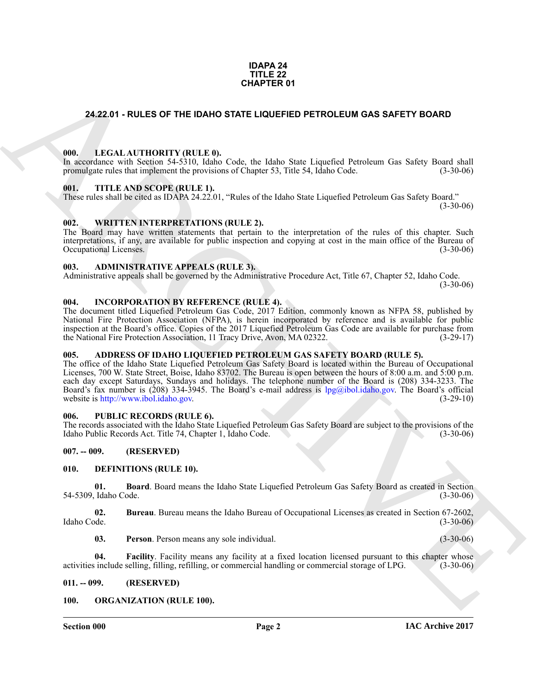#### **IDAPA 24 TITLE 22 CHAPTER 01**

#### <span id="page-1-0"></span>**24.22.01 - RULES OF THE IDAHO STATE LIQUEFIED PETROLEUM GAS SAFETY BOARD**

#### <span id="page-1-1"></span>**000. LEGAL AUTHORITY (RULE 0).**

In accordance with Section 54-5310, Idaho Code, the Idaho State Liquefied Petroleum Gas Safety Board shall promulgate rules that implement the provisions of Chapter 53, Title 54, Idaho Code. (3-30-06)

#### <span id="page-1-2"></span>**001. TITLE AND SCOPE (RULE 1).**

These rules shall be cited as IDAPA 24.22.01, "Rules of the Idaho State Liquefied Petroleum Gas Safety Board."

 $(3-30-06)$ 

#### <span id="page-1-3"></span>**002. WRITTEN INTERPRETATIONS (RULE 2).**

The Board may have written statements that pertain to the interpretation of the rules of this chapter. Such interpretations, if any, are available for public inspection and copying at cost in the main office of the Bureau of Occupational Licenses.

#### <span id="page-1-4"></span>**003. ADMINISTRATIVE APPEALS (RULE 3).**

Administrative appeals shall be governed by the Administrative Procedure Act, Title 67, Chapter 52, Idaho Code.  $(3-30-06)$ 

#### <span id="page-1-5"></span>**004. INCORPORATION BY REFERENCE (RULE 4).**

The document titled Liquefied Petroleum Gas Code, 2017 Edition, commonly known as NFPA 58, published by National Fire Protection Association (NFPA), is herein incorporated by reference and is available for public inspection at the Board's office. Copies of the 2017 Liquefied Petroleum Gas Code are available for purchase from<br>the National Fire Protection Association, 11 Tracy Drive, Avon, MA 02322. (3-29-17) the National Fire Protection Association, 11 Tracy Drive, Avon, MA 02322.

#### <span id="page-1-6"></span>**005. ADDRESS OF IDAHO LIQUEFIED PETROLEUM GAS SAFETY BOARD (RULE 5).**

**CHAPTER 01**<br>
24.22.01 - RULES OF THE IDANG STATE LIQUETED PETROLEUM GAS SAFETY BOARD<br>
1990.<br>
1990. LEGAL ARC[HI](mailto:lpg@ibol.idaho.gov)DENTY (RULE) A Code, the Idaho State Lignestic Teachers on Science Board and<br>
1990. TITLE AND SCOPE (RULE).<br>
1 The office of the Idaho State Liquefied Petroleum Gas Safety Board is located within the Bureau of Occupational Licenses, 700 W. State Street, Boise, Idaho 83702. The Bureau is open between the hours of 8:00 a.m. and 5:00 p.m. each day except Saturdays, Sundays and holidays. The telephone number of the Board is (208) 334-3233. The Board's fax number is (208) 334-3945. The Board's e-mail address is lpg@ibol.idaho.gov. The Board's official website is http://www.ibol.idaho.gov. website is http://www.ibol.idaho.gov.

### <span id="page-1-7"></span>**006. PUBLIC RECORDS (RULE 6).**

The records associated with the Idaho State Liquefied Petroleum Gas Safety Board are subject to the provisions of the Idaho Public Records Act. Title 74, Chapter 1, Idaho Code. (3-30-06) Idaho Public Records Act. Title 74, Chapter 1, Idaho Code.

#### <span id="page-1-8"></span>**007. -- 009. (RESERVED)**

#### <span id="page-1-12"></span><span id="page-1-9"></span>**010. DEFINITIONS (RULE 10).**

<span id="page-1-13"></span>**01. Board**. Board means the Idaho State Liquefied Petroleum Gas Safety Board as created in Section 54-5309, Idaho Code. (3-30-06)

**02.** Bureau. Bureau means the Idaho Bureau of Occupational Licenses as created in Section 67-2602, Idaho Code. (3-30-06) Idaho Code. (3-30-06)

<span id="page-1-16"></span><span id="page-1-15"></span><span id="page-1-14"></span>**03. Person**. Person means any sole individual. (3-30-06)

**04. Facility**. Facility means any facility at a fixed location licensed pursuant to this chapter whose include selling, filling, refilling, or commercial handling or commercial storage of LPG. (3-30-06) activities include selling, filling, refilling, or commercial handling or commercial storage of LPG.

#### <span id="page-1-10"></span>**011. -- 099. (RESERVED)**

#### <span id="page-1-17"></span><span id="page-1-11"></span>**100. ORGANIZATION (RULE 100).**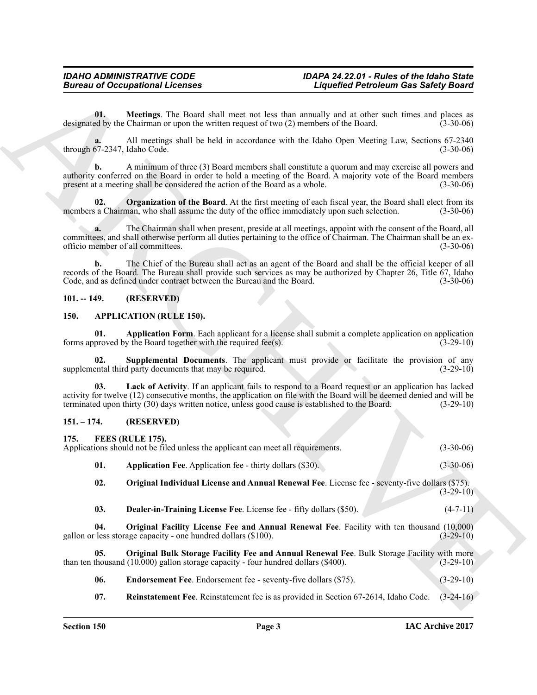### <span id="page-2-17"></span><span id="page-2-0"></span>**101. -- 149. (RESERVED)**

#### <span id="page-2-7"></span><span id="page-2-5"></span><span id="page-2-4"></span><span id="page-2-1"></span>**150. APPLICATION (RULE 150).**

### <span id="page-2-15"></span><span id="page-2-14"></span><span id="page-2-13"></span><span id="page-2-12"></span><span id="page-2-11"></span><span id="page-2-10"></span><span id="page-2-9"></span><span id="page-2-8"></span><span id="page-2-6"></span><span id="page-2-3"></span><span id="page-2-2"></span>**151. – 174. (RESERVED)**

<span id="page-2-16"></span>

|                                    | <b>Bureau of Occupational Licenses</b>                                                               |                                                                                                                                                                                                                               | <b>Liquefied Petroleum Gas Safety Board</b> |  |
|------------------------------------|------------------------------------------------------------------------------------------------------|-------------------------------------------------------------------------------------------------------------------------------------------------------------------------------------------------------------------------------|---------------------------------------------|--|
| 01.                                | designated by the Chairman or upon the written request of two (2) members of the Board.              | Meetings. The Board shall meet not less than annually and at other such times and places as                                                                                                                                   | $(3-30-06)$                                 |  |
| a.<br>through 67-2347, Idaho Code. |                                                                                                      | All meetings shall be held in accordance with the Idaho Open Meeting Law, Sections 67-2340                                                                                                                                    | $(3-30-06)$                                 |  |
| $\mathbf{b}$ .                     | present at a meeting shall be considered the action of the Board as a whole.                         | A minimum of three (3) Board members shall constitute a quorum and may exercise all powers and<br>authority conferred on the Board in order to hold a meeting of the Board. A majority vote of the Board members              | $(3-30-06)$                                 |  |
| 02.                                |                                                                                                      | <b>Organization of the Board</b> . At the first meeting of each fiscal year, the Board shall elect from its<br>members a Chairman, who shall assume the duty of the office immediately upon such selection.                   | $(3-30-06)$                                 |  |
| a.                                 | officio member of all committees.                                                                    | The Chairman shall when present, preside at all meetings, appoint with the consent of the Board, all<br>committees, and shall otherwise perform all duties pertaining to the office of Chairman. The Chairman shall be an ex- | $(3-30-06)$                                 |  |
| $\mathbf{b}$ .                     | Code, and as defined under contract between the Bureau and the Board.                                | The Chief of the Bureau shall act as an agent of the Board and shall be the official keeper of all<br>records of the Board. The Bureau shall provide such services as may be authorized by Chapter 26, Title 67, Idaho        | $(3-30-06)$                                 |  |
| $101. - 149.$                      | (RESERVED)                                                                                           |                                                                                                                                                                                                                               |                                             |  |
| 150.                               | <b>APPLICATION (RULE 150).</b>                                                                       |                                                                                                                                                                                                                               |                                             |  |
| 01.                                | forms approved by the Board together with the required fee(s).                                       | Application Form. Each applicant for a license shall submit a complete application on application                                                                                                                             | $(3-29-10)$                                 |  |
| 02.                                | supplemental third party documents that may be required.                                             | Supplemental Documents. The applicant must provide or facilitate the provision of any                                                                                                                                         | $(3-29-10)$                                 |  |
| 03.                                | terminated upon thirty (30) days written notice, unless good cause is established to the Board.      | Lack of Activity. If an applicant fails to respond to a Board request or an application has lacked<br>activity for twelve (12) consecutive months, the application on file with the Board will be deemed denied and will be   | $(3-29-10)$                                 |  |
| $151. - 174.$                      | (RESERVED)                                                                                           |                                                                                                                                                                                                                               |                                             |  |
| 175.                               | FEES (RULE 175).<br>Applications should not be filed unless the applicant can meet all requirements. |                                                                                                                                                                                                                               | $(3-30-06)$                                 |  |
| 01.                                | <b>Application Fee.</b> Application fee - thirty dollars (\$30).                                     |                                                                                                                                                                                                                               | $(3-30-06)$                                 |  |
| 02.                                |                                                                                                      | Original Individual License and Annual Renewal Fee. License fee - seventy-five dollars (\$75).                                                                                                                                | $(3-29-10)$                                 |  |
| 03.                                | Dealer-in-Training License Fee. License fee - fifty dollars (\$50).                                  |                                                                                                                                                                                                                               | $(4-7-11)$                                  |  |
| 04.                                | gallon or less storage capacity - one hundred dollars (\$100).                                       | Original Facility License Fee and Annual Renewal Fee. Facility with ten thousand (10,000)                                                                                                                                     | $(3-29-10)$                                 |  |
| 05.                                | than ten thousand $(10,000)$ gallon storage capacity - four hundred dollars $(\$400)$ .              | Original Bulk Storage Facility Fee and Annual Renewal Fee. Bulk Storage Facility with more                                                                                                                                    | $(3-29-10)$                                 |  |
| 06.                                | Endorsement Fee. Endorsement fee - seventy-five dollars (\$75).                                      |                                                                                                                                                                                                                               | $(3-29-10)$                                 |  |
|                                    |                                                                                                      | Reinstatement Fee. Reinstatement fee is as provided in Section 67-2614, Idaho Code.                                                                                                                                           |                                             |  |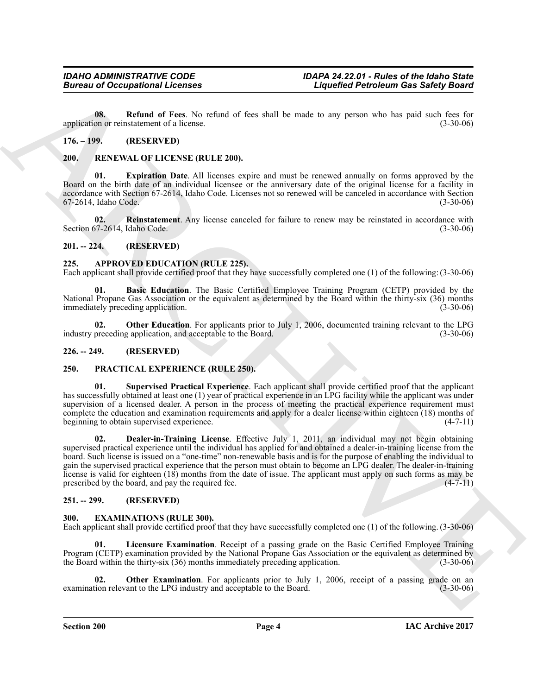<span id="page-3-14"></span>**08. Refund of Fees**. No refund of fees shall be made to any person who has paid such fees for on or reinstatement of a license. application or reinstatement of a license.

### <span id="page-3-0"></span>**176. – 199. (RESERVED)**

#### <span id="page-3-18"></span><span id="page-3-1"></span>**200. RENEWAL OF LICENSE (RULE 200).**

<span id="page-3-19"></span>**Expiration Date.** All licenses expire and must be renewed annually on forms approved by the Board on the birth date of an individual licensee or the anniversary date of the original license for a facility in accordance with Section 67-2614, Idaho Code. Licenses not so renewed will be canceled in accordance with Section 67-2614, Idaho Code.

<span id="page-3-20"></span>**02. Reinstatement**. Any license canceled for failure to renew may be reinstated in accordance with Section 67-2614, Idaho Code. (3-30-06)

#### <span id="page-3-2"></span>**201. -- 224. (RESERVED)**

#### <span id="page-3-8"></span><span id="page-3-3"></span>**225. APPROVED EDUCATION (RULE 225).**

Each applicant shall provide certified proof that they have successfully completed one (1) of the following: (3-30-06)

<span id="page-3-9"></span>**01. Basic Education**. The Basic Certified Employee Training Program (CETP) provided by the National Propane Gas Association or the equivalent as determined by the Board within the thirty-six (36) months immediately preceding application.

<span id="page-3-10"></span>**02. Other Education**. For applicants prior to July 1, 2006, documented training relevant to the LPG preceding application, and acceptable to the Board. (3-30-06) industry preceding application, and acceptable to the Board.

#### <span id="page-3-4"></span>**226. -- 249. (RESERVED)**

### <span id="page-3-15"></span><span id="page-3-5"></span>**250. PRACTICAL EXPERIENCE (RULE 250).**

<span id="page-3-17"></span><span id="page-3-16"></span>**01. Supervised Practical Experience**. Each applicant shall provide certified proof that the applicant has successfully obtained at least one (1) year of practical experience in an LPG facility while the applicant was under supervision of a licensed dealer. A person in the process of meeting the practical experience requirement must complete the education and examination requirements and apply for a dealer license within eighteen  $(18)$  months of beginning to obtain supervised experience. beginning to obtain supervised experience.

**Example 20 Compatibilities and 19 Few Alternative Compatibility and the specifical Particular and 19 Few Alternative Compatibility and the specifical particles are provided in the specifical particles and the specifical 02. Dealer-in-Training License**. Effective July 1, 2011, an individual may not begin obtaining supervised practical experience until the individual has applied for and obtained a dealer-in-training license from the board. Such license is issued on a "one-time" non-renewable basis and is for the purpose of enabling the individual to gain the supervised practical experience that the person must obtain to become an LPG dealer. The dealer-in-training license is valid for eighteen  $(18)$  months from the date of issue. The applicant must apply on such forms as may be prescribed by the board, and pay the required fee. prescribed by the board, and pay the required fee.

### <span id="page-3-6"></span>**251. -- 299. (RESERVED)**

#### <span id="page-3-11"></span><span id="page-3-7"></span>**300. EXAMINATIONS (RULE 300).**

Each applicant shall provide certified proof that they have successfully completed one (1) of the following. (3-30-06)

<span id="page-3-12"></span>**01. Licensure Examination**. Receipt of a passing grade on the Basic Certified Employee Training Program (CETP) examination provided by the National Propane Gas Association or the equivalent as determined by the Board within the thirty-six (36) months immediately preceding application. (3-30-06) the Board within the thirty-six  $(36)$  months immediately preceding application.

<span id="page-3-13"></span>**02. Other Examination**. For applicants prior to July 1, 2006, receipt of a passing grade on an ion relevant to the LPG industry and acceptable to the Board. (3-30-06) examination relevant to the LPG industry and acceptable to the Board.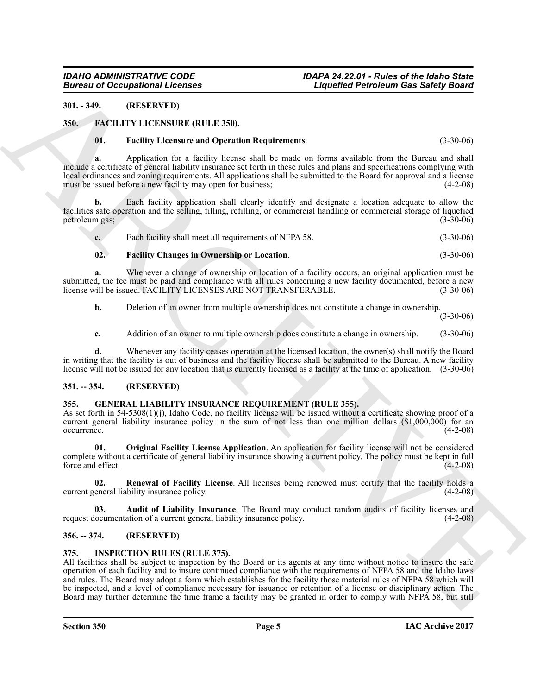#### <span id="page-4-0"></span>**301. - 349. (RESERVED)**

#### <span id="page-4-1"></span>**350. FACILITY LICENSURE (RULE 350).**

#### <span id="page-4-8"></span><span id="page-4-6"></span>**01. Facility Licensure and Operation Requirements**. (3-30-06)

**a.** Application for a facility license shall be made on forms available from the Bureau and shall include a certificate of general liability insurance set forth in these rules and plans and specifications complying with local ordinances and zoning requirements. All applications shall be submitted to the Board for approval and a license must be issued before a new facility may open for business; (4-2-08)

**b.** Each facility application shall clearly identify and designate a location adequate to allow the facilities safe operation and the selling, filling, refilling, or commercial handling or commercial storage of liquefied petroleum gas;

|  | い. | Each facility shall meet all requirements of NFPA 58. | $(3-30-06)$ |
|--|----|-------------------------------------------------------|-------------|
|--|----|-------------------------------------------------------|-------------|

#### <span id="page-4-7"></span>**02. Facility Changes in Ownership or Location**. (3-30-06)

**a.** Whenever a change of ownership or location of a facility occurs, an original application must be submitted, the fee must be paid and compliance with all rules concerning a new facility documented, before a new<br>license will be issued. FACILITY LICENSES ARE NOT TRANSFERABLE. (3-30-06) license will be issued. FACILITY LICENSES ARE NOT TRANSFERABLE.

**b.** Deletion of an owner from multiple ownership does not constitute a change in ownership.

(3-30-06)

**c.** Addition of an owner to multiple ownership does constitute a change in ownership. (3-30-06)

**d.** Whenever any facility ceases operation at the licensed location, the owner(s) shall notify the Board in writing that the facility is out of business and the facility license shall be submitted to the Bureau. A new facility license will not be issued for any location that is currently licensed as a facility at the time of application. (3-30-06)

#### <span id="page-4-2"></span>**351. -- 354. (RESERVED)**

#### <span id="page-4-9"></span><span id="page-4-3"></span>**355. GENERAL LIABILITY INSURANCE REQUIREMENT (RULE 355).**

As set forth in 54-5308(1)(j), Idaho Code, no facility license will be issued without a certificate showing proof of a current general liability insurance policy in the sum of not less than one million dollars (\$1,000,000) for an occurrence. (4-2-08) occurrence. (4-2-08)

<span id="page-4-11"></span>**01. Original Facility License Application**. An application for facility license will not be considered complete without a certificate of general liability insurance showing a current policy. The policy must be kept in full force and effect. force and effect.

<span id="page-4-12"></span>**02. Renewal of Facility License**. All licenses being renewed must certify that the facility holds a eneral liability insurance policy. (4-2-08) current general liability insurance policy.

<span id="page-4-10"></span>**03. Audit of Liability Insurance**. The Board may conduct random audits of facility licenses and request documentation of a current general liability insurance policy. (4-2-08)

### <span id="page-4-4"></span>**356. -- 374. (RESERVED)**

#### <span id="page-4-13"></span><span id="page-4-5"></span>**375. INSPECTION RULES (RULE 375).**

**Example 20**<br> **Example 20**<br> **ARCHIVE ARTS (ACTION IS a state of the state of the state of the state of the state of the state of the state of the state of the state of the state of the state of the state of the state of t** All facilities shall be subject to inspection by the Board or its agents at any time without notice to insure the safe operation of each facility and to insure continued compliance with the requirements of NFPA 58 and the Idaho laws and rules. The Board may adopt a form which establishes for the facility those material rules of NFPA 58 which will be inspected, and a level of compliance necessary for issuance or retention of a license or disciplinary action. The Board may further determine the time frame a facility may be granted in order to comply with NFPA 58, but still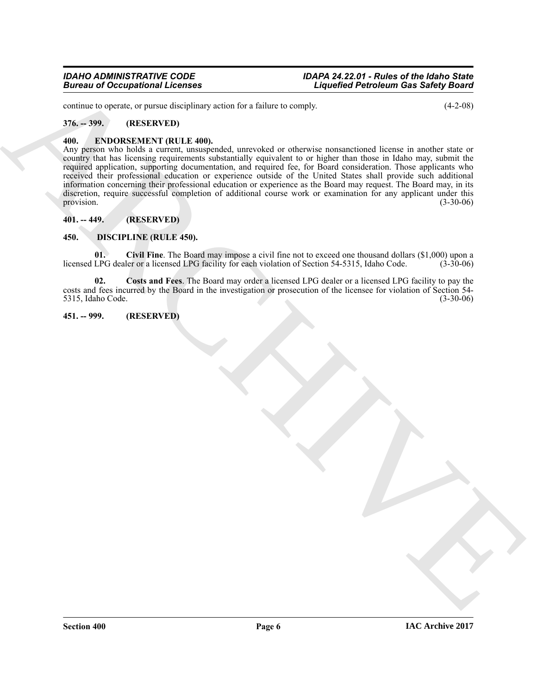continue to operate, or pursue disciplinary action for a failure to comply. (4-2-08)

#### <span id="page-5-0"></span>**376. -- 399. (RESERVED)**

#### <span id="page-5-7"></span><span id="page-5-1"></span>**400. ENDORSEMENT (RULE 400).**

Bureau of Occupational Licensis<br>
Since 3 and Control and the state of the state of the state of the state of the state of the state of the state of the state of the state of the state of the state of the state of the stat Any person who holds a current, unsuspended, unrevoked or otherwise nonsanctioned license in another state or country that has licensing requirements substantially equivalent to or higher than those in Idaho may, submit the required application, supporting documentation, and required fee, for Board consideration. Those applicants who received their professional education or experience outside of the United States shall provide such additional information concerning their professional education or experience as the Board may request. The Board may, in its discretion, require successful completion of additional course work or examination for any applicant under this provision. (3-30-06) provision.  $(3-30-06)$ 

#### <span id="page-5-2"></span>**401. -- 449. (RESERVED)**

#### <span id="page-5-3"></span>**450. DISCIPLINE (RULE 450).**

<span id="page-5-5"></span>**01. Civil Fine**. The Board may impose a civil fine not to exceed one thousand dollars (\$1,000) upon a licensed LPG dealer or a licensed LPG facility for each violation of Section 54-5315, Idaho Code. (3-30-06)

<span id="page-5-6"></span>**02. Costs and Fees**. The Board may order a licensed LPG dealer or a licensed LPG facility to pay the costs and fees incurred by the Board in the investigation or prosecution of the licensee for violation of Section 54- 5315, Idaho Code.

#### <span id="page-5-4"></span>**451. -- 999. (RESERVED)**